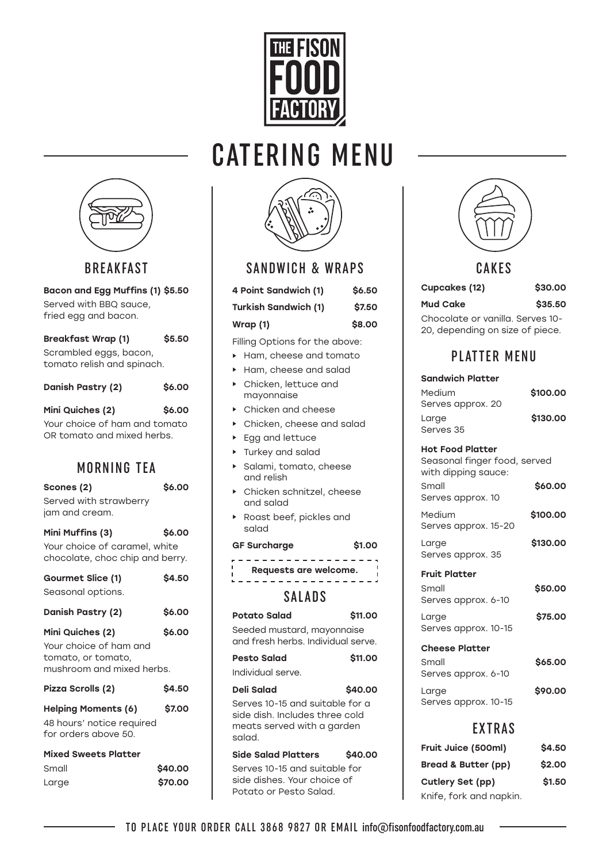

# CATERING MENU



## BREAKFAST

Bacon and Egg Muffins (1) \$5.50 Served with BBQ sauce, fried egg and bacon.

| <b>Breakfast Wrap (1)</b>  | \$5.50 |
|----------------------------|--------|
| Scrambled eggs, bacon,     |        |
| tomato relish and spinach. |        |

| Danish Pastry (2)             | \$6.00 |
|-------------------------------|--------|
| Mini Quiches (2)              | \$6.00 |
| Your choice of ham and tomato |        |
| OR tomato and mixed herbs.    |        |

# MORNING TEA

| Scones (2)                                                                | \$6.00  |
|---------------------------------------------------------------------------|---------|
| Served with strawberry<br>jam and cream.                                  |         |
| Mini Muffins (3)                                                          | \$6.00  |
| Your choice of caramel, white<br>chocolate, choc chip and berry.          |         |
| Gourmet Slice (1)                                                         | \$4.50  |
| Seasonal options.                                                         |         |
| Danish Pastry (2)                                                         | \$6.00  |
| Mini Quiches (2)                                                          | \$6.00  |
| Your choice of ham and<br>tomato, or tomato,<br>mushroom and mixed herbs. |         |
| Pizza Scrolls (2)                                                         | \$4.50  |
| <b>Helping Moments (6)</b>                                                | \$7.00  |
| 48 hours' notice required                                                 |         |
| for orders above 50.                                                      |         |
| <b>Mixed Sweets Platter</b>                                               |         |
| Small                                                                     | \$40.00 |
| Large                                                                     | \$70.00 |



| <b>SANDWICH &amp; WRAPS</b> |  |
|-----------------------------|--|
|-----------------------------|--|

| 4 Point Sandwich (1)        | \$6.50 |
|-----------------------------|--------|
| <b>Turkish Sandwich (1)</b> | \$7.50 |
| Wrap $(1)$                  | \$8.00 |

Filling Options for the above:

- ► Ham, cheese and tomato
- ► Ham, cheese and salad
- ► Chicken, lettuce and mayonnaise
- ► Chicken and cheese
- ► Chicken, cheese and salad
- ► Egg and lettuce
- ► Turkey and salad
- ► Salami, tomato, cheese and relish
- ► Chicken schnitzel, cheese and salad
- ► Roast beef, pickles and salad

#### GF Surcharge  $$1.00$

-----------------Requests are welcome.

<u>. . . . . . . . . . . . . . . . .</u>

# SALADS

| <b>Potato Salad</b>                                                                                      | \$11.00 |
|----------------------------------------------------------------------------------------------------------|---------|
| Seeded mustard, mayonnaise<br>and fresh herbs. Individual serve.                                         |         |
| <b>Pesto Salad</b>                                                                                       | \$11.00 |
| Individual serve.                                                                                        |         |
| Deli Salad                                                                                               | \$40.00 |
| Serves 10-15 and suitable for a<br>side dish. Includes three cold<br>meats served with a garden<br>salad |         |
| <b>Side Salad Platters</b>                                                                               | \$40.00 |
| Serves 10-15 and suitable for<br>side dishes. Your choice of                                             |         |



### CAKES

## Cupcakes (12) \$30.00

Mud Cake \$35.50 Chocolate or vanilla. Serves 10- 20, depending on size of piece.

# PLATTER MENU

# Sandwich Platter Medium **\$100.00**

| Serves approx. 20  |          |
|--------------------|----------|
| Large<br>Serves 35 | \$130.00 |
|                    |          |

#### Hot Food Platter

Seasonal finger food, served with dipping sauce: Small \$60.00 Serves approx. 10

Medium **\$100.00** Serves approx. 15-20

Large \$130.00 Serves approx. 35

### Fruit Platter

Small \$50.00 Serves approx. 6-10 Large **\$75.00** Serves approx. 10-15

Cheese Platter

| Small                | \$65.00 |
|----------------------|---------|
| Serves approx. 6-10  |         |
| Large                | \$90.00 |
| Serves approx. 10-15 |         |

# EXTRAS

| Fruit Juice (500ml)     | \$4.50 |
|-------------------------|--------|
| Bread & Butter (pp)     | \$2.00 |
| Cutlery Set (pp)        | \$1.50 |
| Knife, fork and napkin. |        |

Potato or Pesto Salad.

| ▎ |
|---|
|   |
|   |